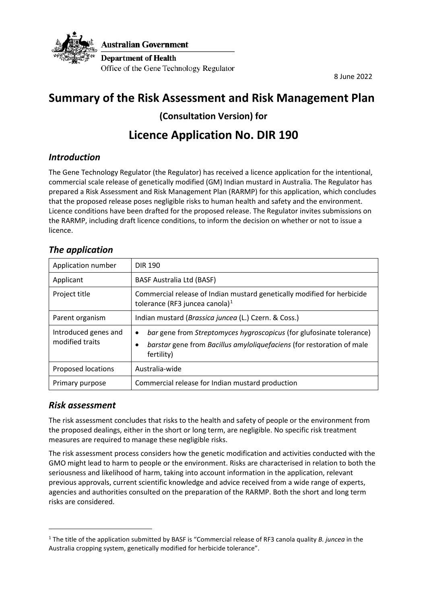

**Australian Government** 

**Department of Health** Office of the Gene Technology Regulator

8 June 2022

## **Summary of the Risk Assessment and Risk Management Plan**

**(Consultation Version) for**

# **Licence Application No. DIR 190**

### *Introduction*

The Gene Technology Regulator (the Regulator) has received a licence application for the intentional, commercial scale release of genetically modified (GM) Indian mustard in Australia. The Regulator has prepared a Risk Assessment and Risk Management Plan (RARMP) for this application, which concludes that the proposed release poses negligible risks to human health and safety and the environment. Licence conditions have been drafted for the proposed release. The Regulator invites submissions on the RARMP, including draft licence conditions, to inform the decision on whether or not to issue a licence.

| Application number                      | <b>DIR 190</b>                                                                                                                                                                |
|-----------------------------------------|-------------------------------------------------------------------------------------------------------------------------------------------------------------------------------|
| Applicant                               | <b>BASF Australia Ltd (BASF)</b>                                                                                                                                              |
| Project title                           | Commercial release of Indian mustard genetically modified for herbicide<br>tolerance (RF3 juncea canola) <sup>1</sup>                                                         |
| Parent organism                         | Indian mustard (Brassica juncea (L.) Czern. & Coss.)                                                                                                                          |
| Introduced genes and<br>modified traits | bar gene from Streptomyces hygroscopicus (for glufosinate tolerance)<br>$\bullet$<br>barstar gene from Bacillus amyloliquefaciens (for restoration of male<br>٠<br>fertility) |
| Proposed locations                      | Australia-wide                                                                                                                                                                |
| Primary purpose                         | Commercial release for Indian mustard production                                                                                                                              |

### *The application*

### *Risk assessment*

The risk assessment concludes that risks to the health and safety of people or the environment from the proposed dealings, either in the short or long term, are negligible. No specific risk treatment measures are required to manage these negligible risks.

The risk assessment process considers how the genetic modification and activities conducted with the GMO might lead to harm to people or the environment. Risks are characterised in relation to both the seriousness and likelihood of harm, taking into account information in the application, relevant previous approvals, current scientific knowledge and advice received from a wide range of experts, agencies and authorities consulted on the preparation of the RARMP. Both the short and long term risks are considered.

<span id="page-0-0"></span><sup>1</sup> The title of the application submitted by BASF is "Commercial release of RF3 canola quality *B. juncea* in the Australia cropping system, genetically modified for herbicide tolerance".